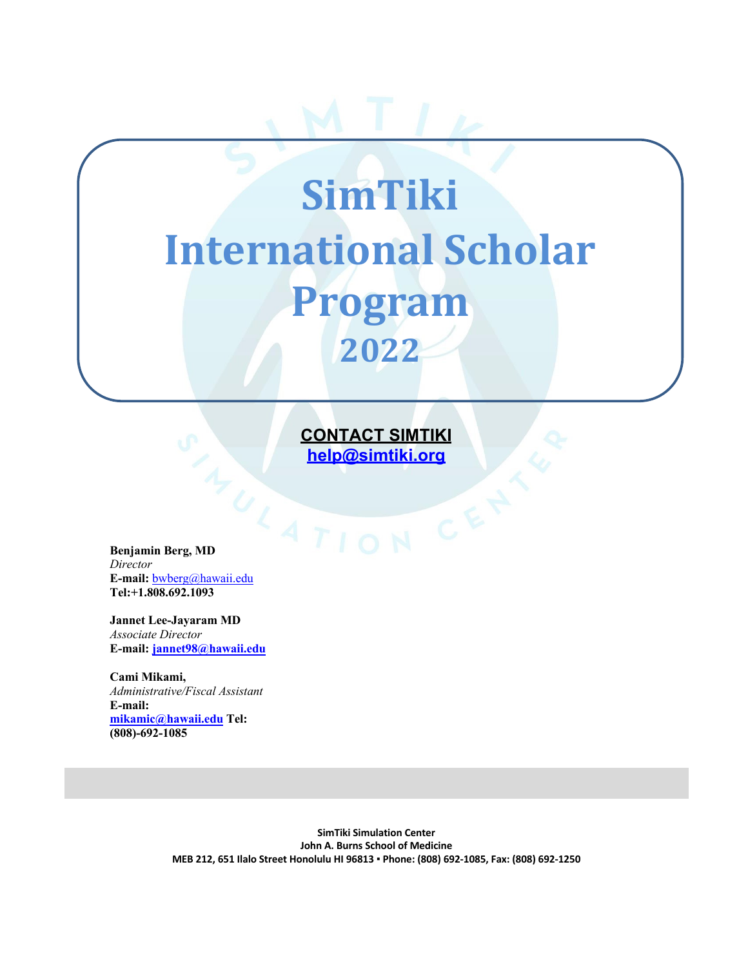# **SimTiki International Scholar Program 2022**

**CONTACT SIMTIKI help@simtiki.org**

**Benjamin Berg, MD** *Director* **E-mail:** bwberg@hawaii.edu **Tel:+1.808.692.1093**

**Jannet Lee-Jayaram MD** *Associate Director* **E-mail: jannet98@hawaii.edu**

**Cami Mikami,**  *Administrative/Fiscal Assistant*  **E-mail: mikamic@hawaii.edu Tel: (808)-692-1085**

> **SimTiki Simulation Center John A. Burns School of Medicine MEB 212, 651 Ilalo Street Honolulu HI 96813 ▪ Phone: (808) 692-1085, Fax: (808) 692-1250**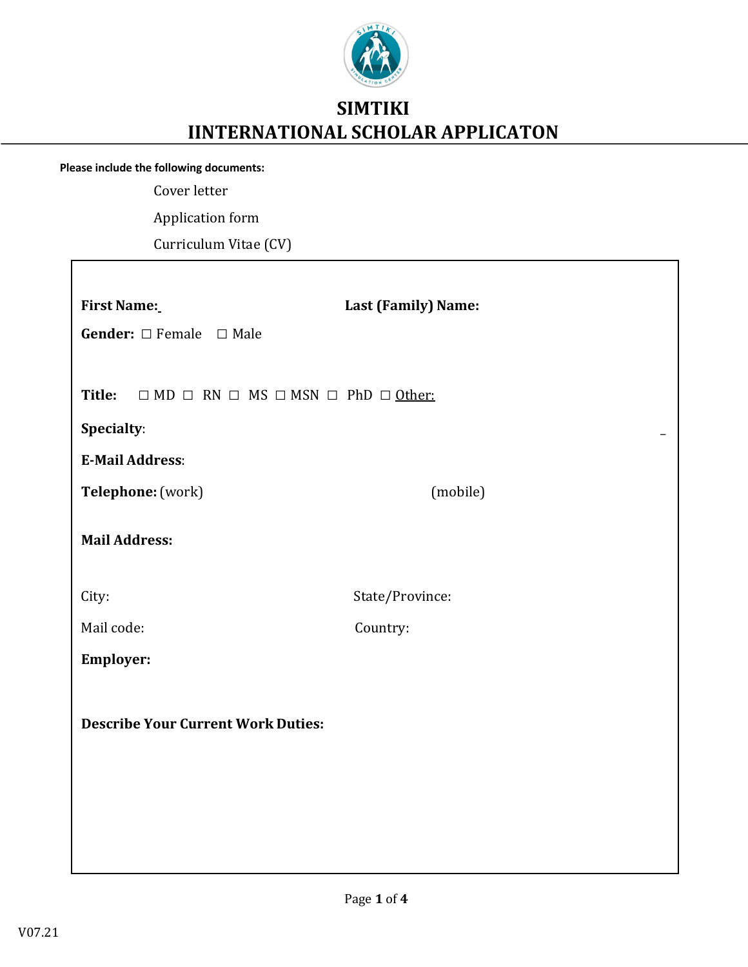

## **SIMTIKI IINTERNATIONAL SCHOLAR APPLICATON**

**Please include the following documents:**

Г

Cover letter

Application form

Curriculum Vitae (CV)

| <b>First Name:</b><br><b>Gender:</b> $\Box$ Female $\Box$ Male              | Last (Family) Name: |  |  |  |  |  |
|-----------------------------------------------------------------------------|---------------------|--|--|--|--|--|
| Title:<br>$\Box$ MD $\Box$ RN $\Box$ MS $\Box$ MSN $\Box$ PhD $\Box$ Other: |                     |  |  |  |  |  |
| Specialty:                                                                  |                     |  |  |  |  |  |
| <b>E-Mail Address:</b>                                                      |                     |  |  |  |  |  |
| Telephone: (work)                                                           | (mobile)            |  |  |  |  |  |
| <b>Mail Address:</b>                                                        |                     |  |  |  |  |  |
| City:                                                                       | State/Province:     |  |  |  |  |  |
| Mail code:                                                                  | Country:            |  |  |  |  |  |
| <b>Employer:</b>                                                            |                     |  |  |  |  |  |
| <b>Describe Your Current Work Duties:</b>                                   |                     |  |  |  |  |  |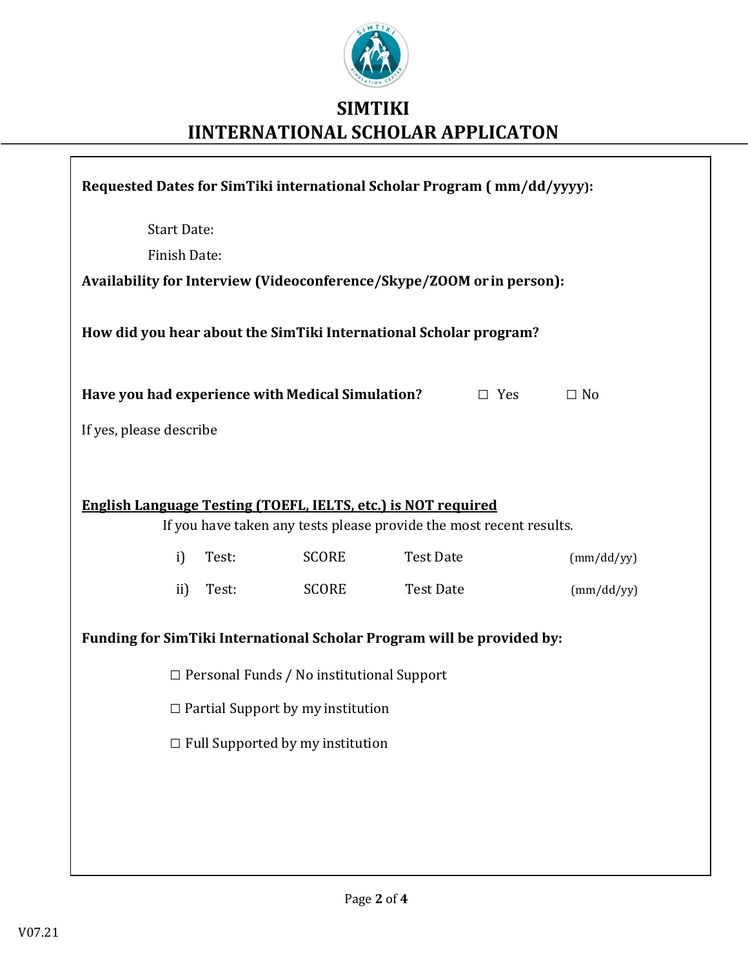

# **SIMTIKI IINTERNATIONAL SCHOLAR APPLICATON**

| Requested Dates for SimTiki international Scholar Program (mm/dd/yyyy): |       |              |                  |            |            |  |  |
|-------------------------------------------------------------------------|-------|--------------|------------------|------------|------------|--|--|
| <b>Start Date:</b>                                                      |       |              |                  |            |            |  |  |
| <b>Finish Date:</b>                                                     |       |              |                  |            |            |  |  |
| Availability for Interview (Videoconference/Skype/ZOOM or in person):   |       |              |                  |            |            |  |  |
|                                                                         |       |              |                  |            |            |  |  |
| How did you hear about the SimTiki International Scholar program?       |       |              |                  |            |            |  |  |
| Have you had experience with Medical Simulation?                        |       |              |                  | $\Box$ Yes | $\Box$ No  |  |  |
| If yes, please describe                                                 |       |              |                  |            |            |  |  |
|                                                                         |       |              |                  |            |            |  |  |
|                                                                         |       |              |                  |            |            |  |  |
| <b>English Language Testing (TOEFL, IELTS, etc.) is NOT required</b>    |       |              |                  |            |            |  |  |
| If you have taken any tests please provide the most recent results.     |       |              |                  |            |            |  |  |
| i)                                                                      | Test: | <b>SCORE</b> | <b>Test Date</b> |            | (mm/dd/yy) |  |  |
| $\mathbf{ii}$                                                           | Test: | <b>SCORE</b> | <b>Test Date</b> |            | (mm/dd/yy) |  |  |
| Funding for SimTiki International Scholar Program will be provided by:  |       |              |                  |            |            |  |  |
| $\Box$ Personal Funds / No institutional Support                        |       |              |                  |            |            |  |  |
| $\Box$ Partial Support by my institution                                |       |              |                  |            |            |  |  |
| $\Box$ Full Supported by my institution                                 |       |              |                  |            |            |  |  |
|                                                                         |       |              |                  |            |            |  |  |
|                                                                         |       |              |                  |            |            |  |  |
|                                                                         |       |              |                  |            |            |  |  |
|                                                                         |       |              |                  |            |            |  |  |

 $\sqrt{ }$